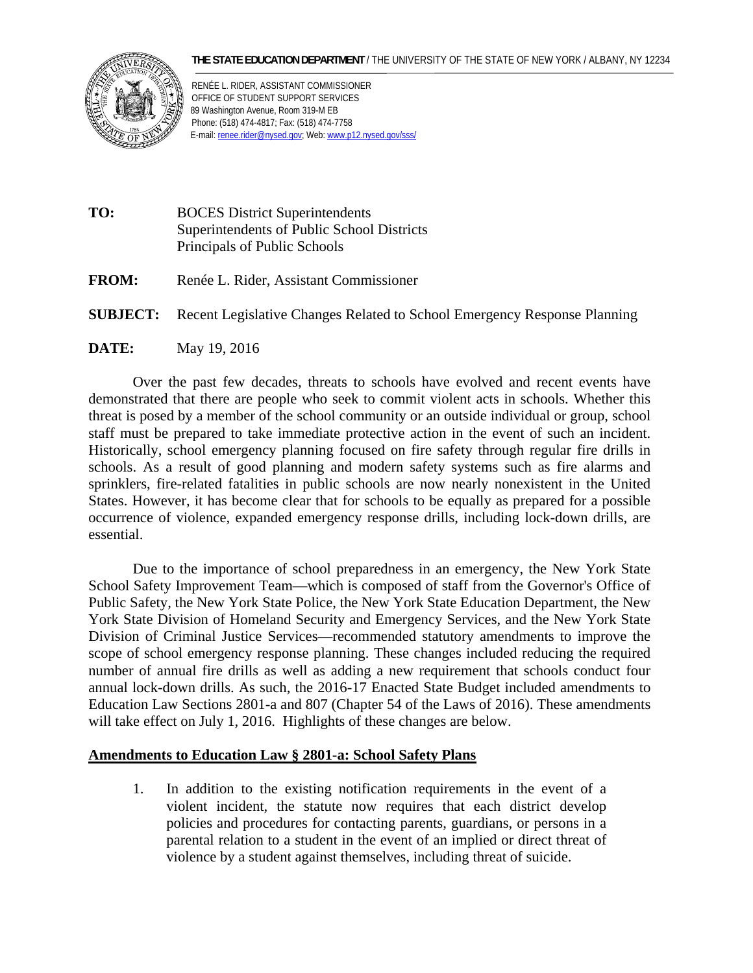## **THE STATE EDUCATION DEPARTMENT** / THE UNIVERSITY OF THE STATE OF NEW YORK / ALBANY, NY 12234



RENÉE L. RIDER, ASSISTANT COMMISSIONER OFFICE OF STUDENT SUPPORT SERVICES 89 Washington Avenue, Room 319-M EB Phone: (518) 474-4817; Fax: (518) 474-7758 E-mail: renee.rider@nysed.gov; Web: www.p12.nysed.gov/sss/

- **TO:** BOCES District Superintendents Superintendents of Public School Districts Principals of Public Schools
- **FROM:** Renée L. Rider, Assistant Commissioner
- **SUBJECT:** Recent Legislative Changes Related to School Emergency Response Planning
- **DATE:** May 19, 2016

Over the past few decades, threats to schools have evolved and recent events have demonstrated that there are people who seek to commit violent acts in schools. Whether this threat is posed by a member of the school community or an outside individual or group, school staff must be prepared to take immediate protective action in the event of such an incident. Historically, school emergency planning focused on fire safety through regular fire drills in schools. As a result of good planning and modern safety systems such as fire alarms and sprinklers, fire-related fatalities in public schools are now nearly nonexistent in the United States. However, it has become clear that for schools to be equally as prepared for a possible occurrence of violence, expanded emergency response drills, including lock-down drills, are essential.

Due to the importance of school preparedness in an emergency, the New York State School Safety Improvement Team—which is composed of staff from the Governor's Office of Public Safety, the New York State Police, the New York State Education Department, the New York State Division of Homeland Security and Emergency Services, and the New York State Division of Criminal Justice Services—recommended statutory amendments to improve the scope of school emergency response planning. These changes included reducing the required number of annual fire drills as well as adding a new requirement that schools conduct four annual lock-down drills. As such, the 2016-17 Enacted State Budget included amendments to Education Law Sections 2801-a and 807 (Chapter 54 of the Laws of 2016). These amendments will take effect on July 1, 2016. Highlights of these changes are below.

## **Amendments to Education Law § 2801-a: School Safety Plans**

1. In addition to the existing notification requirements in the event of a violent incident, the statute now requires that each district develop policies and procedures for contacting parents, guardians, or persons in a parental relation to a student in the event of an implied or direct threat of violence by a student against themselves, including threat of suicide.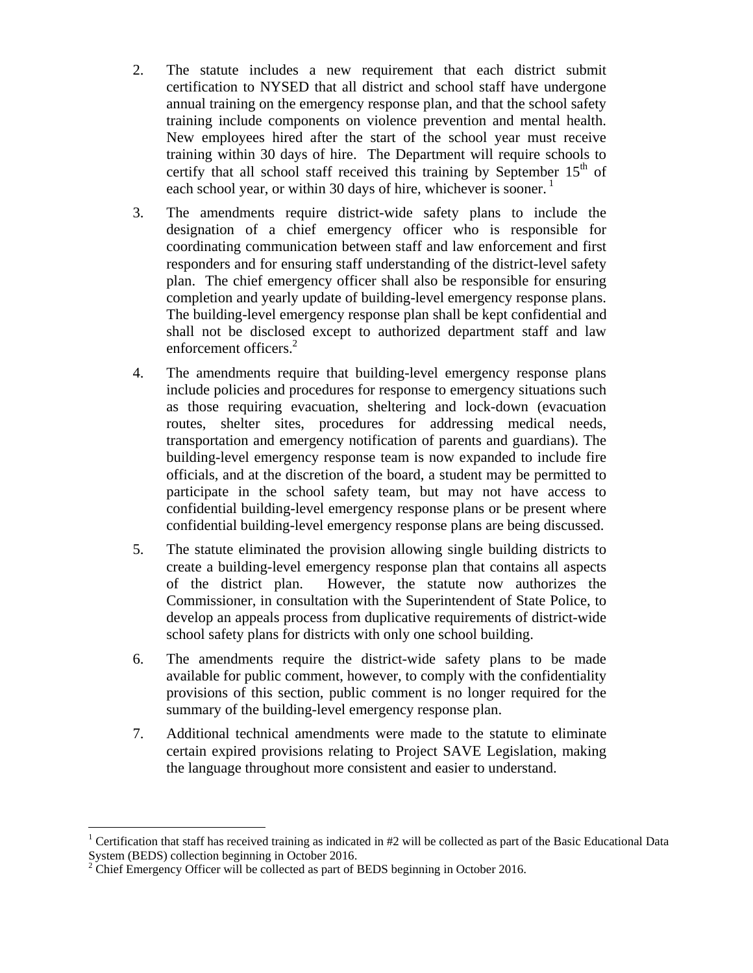- each school year, or within 30 days of hire, whichever is sooner.<sup>1</sup> 2. The statute includes a new requirement that each district submit certification to NYSED that all district and school staff have undergone annual training on the emergency response plan, and that the school safety training include components on violence prevention and mental health. New employees hired after the start of the school year must receive training within 30 days of hire. The Department will require schools to certify that all school staff received this training by September  $15<sup>th</sup>$  of
- 3. The amendments require district-wide safety plans to include the designation of a chief emergency officer who is responsible for coordinating communication between staff and law enforcement and first responders and for ensuring staff understanding of the district-level safety plan. The chief emergency officer shall also be responsible for ensuring completion and yearly update of building-level emergency response plans. The building-level emergency response plan shall be kept confidential and shall not be disclosed except to authorized department staff and law enforcement officers.<sup>2</sup>
- 4. The amendments require that building-level emergency response plans include policies and procedures for response to emergency situations such as those requiring evacuation, sheltering and lock-down (evacuation routes, shelter sites, procedures for addressing medical needs, transportation and emergency notification of parents and guardians). The building-level emergency response team is now expanded to include fire officials, and at the discretion of the board, a student may be permitted to participate in the school safety team, but may not have access to confidential building-level emergency response plans or be present where confidential building-level emergency response plans are being discussed.
- 5. The statute eliminated the provision allowing single building districts to create a building-level emergency response plan that contains all aspects of the district plan. However, the statute now authorizes the Commissioner, in consultation with the Superintendent of State Police, to develop an appeals process from duplicative requirements of district-wide school safety plans for districts with only one school building.
- 6. The amendments require the district-wide safety plans to be made available for public comment, however, to comply with the confidentiality provisions of this section, public comment is no longer required for the summary of the building-level emergency response plan.
- 7. Additional technical amendments were made to the statute to eliminate certain expired provisions relating to Project SAVE Legislation, making the language throughout more consistent and easier to understand.

 $\overline{a}$ 

 System (BEDS) collection beginning in October 2016. <sup>1</sup> Certification that staff has received training as indicated in  $#2$  will be collected as part of the Basic Educational Data

 $2^2$  Chief Emergency Officer will be collected as part of BEDS beginning in October 2016.